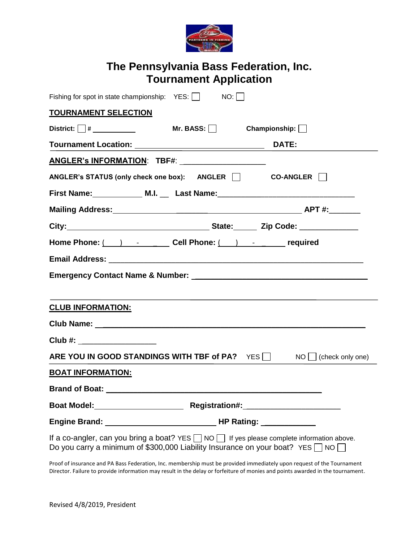

## **The Pennsylvania Bass Federation, Inc. Tournament Application**

| Fishing for spot in state championship: $YES:$ NO: $\Box$                                                                                                                                          |  |  |  |  |
|----------------------------------------------------------------------------------------------------------------------------------------------------------------------------------------------------|--|--|--|--|
| <b>TOURNAMENT SELECTION</b>                                                                                                                                                                        |  |  |  |  |
| District: $\Box$ # Mr. BASS: $\Box$ Championship: $\Box$                                                                                                                                           |  |  |  |  |
| Tournament Location: DATE:                                                                                                                                                                         |  |  |  |  |
| ANGLER's INFORMATION: TBF#: ____________________                                                                                                                                                   |  |  |  |  |
| ANGLER's STATUS (only check one box): ANGLER CO-ANGLER METALLER                                                                                                                                    |  |  |  |  |
| First Name: ______________ M.I. ___ Last Name: _________________________________                                                                                                                   |  |  |  |  |
|                                                                                                                                                                                                    |  |  |  |  |
|                                                                                                                                                                                                    |  |  |  |  |
| Home Phone: ( ) - Cell Phone: ( ) - required                                                                                                                                                       |  |  |  |  |
|                                                                                                                                                                                                    |  |  |  |  |
|                                                                                                                                                                                                    |  |  |  |  |
| <b>CLUB INFORMATION:</b>                                                                                                                                                                           |  |  |  |  |
|                                                                                                                                                                                                    |  |  |  |  |
| Club #: ___________________                                                                                                                                                                        |  |  |  |  |
| ARE YOU IN GOOD STANDINGS WITH TBF of PA? $YES$ NO $\Box$ (check only one)                                                                                                                         |  |  |  |  |
| <b>BOAT INFORMATION:</b>                                                                                                                                                                           |  |  |  |  |
|                                                                                                                                                                                                    |  |  |  |  |
|                                                                                                                                                                                                    |  |  |  |  |
|                                                                                                                                                                                                    |  |  |  |  |
| If a co-angler, can you bring a boat? YES $\Box$ NO $\Box$ If yes please complete information above.<br>Do you carry a minimum of \$300,000 Liability Insurance on your boat? YES $\Box$ NO $\Box$ |  |  |  |  |

Proof of insurance and PA Bass Federation, Inc. membership must be provided immediately upon request of the Tournament Director. Failure to provide information may result in the delay or forfeiture of monies and points awarded in the tournament.